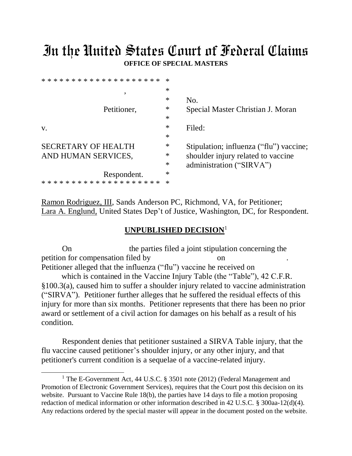## In the United States Court of Federal Claims **OFFICE OF SPECIAL MASTERS**

| $\ast$ |                                         |
|--------|-----------------------------------------|
| $\ast$ | No.                                     |
| ∗      | Special Master Christian J. Moran       |
| $\ast$ |                                         |
| ∗      | Filed:                                  |
| ∗      |                                         |
| ∗      | Stipulation; influenza ("flu") vaccine; |
| $\ast$ | shoulder injury related to vaccine      |
| $\ast$ | administration ("SIRVA")                |
| ∗      |                                         |
| ∗      |                                         |
|        |                                         |

Ramon Rodriguez, III, Sands Anderson PC, Richmond, VA, for Petitioner; Lara A. Englund, United States Dep't of Justice, Washington, DC, for Respondent.

## **UNPUBLISHED DECISION**<sup>1</sup>

On the parties filed a joint stipulation concerning the petition for compensation filed by Petitioner alleged that the influenza ("flu") vaccine he received on which is contained in the Vaccine Injury Table (the "Table"), 42 C.F.R. §100.3(a), caused him to suffer a shoulder injury related to vaccine administration ("SIRVA"). Petitioner further alleges that he suffered the residual effects of this injury for more than six months. Petitioner represents that there has been no prior award or settlement of a civil action for damages on his behalf as a result of his condition.

Respondent denies that petitioner sustained a SIRVA Table injury, that the flu vaccine caused petitioner's shoulder injury, or any other injury, and that petitioner's current condition is a sequelae of a vaccine-related injury.

 $\overline{a}$ 

<sup>&</sup>lt;sup>1</sup> The E-Government Act, 44 U.S.C. § 3501 note (2012) (Federal Management and Promotion of Electronic Government Services), requires that the Court post this decision on its website. Pursuant to Vaccine Rule 18(b), the parties have 14 days to file a motion proposing redaction of medical information or other information described in 42 U.S.C. § 300aa-12(d)(4). Any redactions ordered by the special master will appear in the document posted on the website.